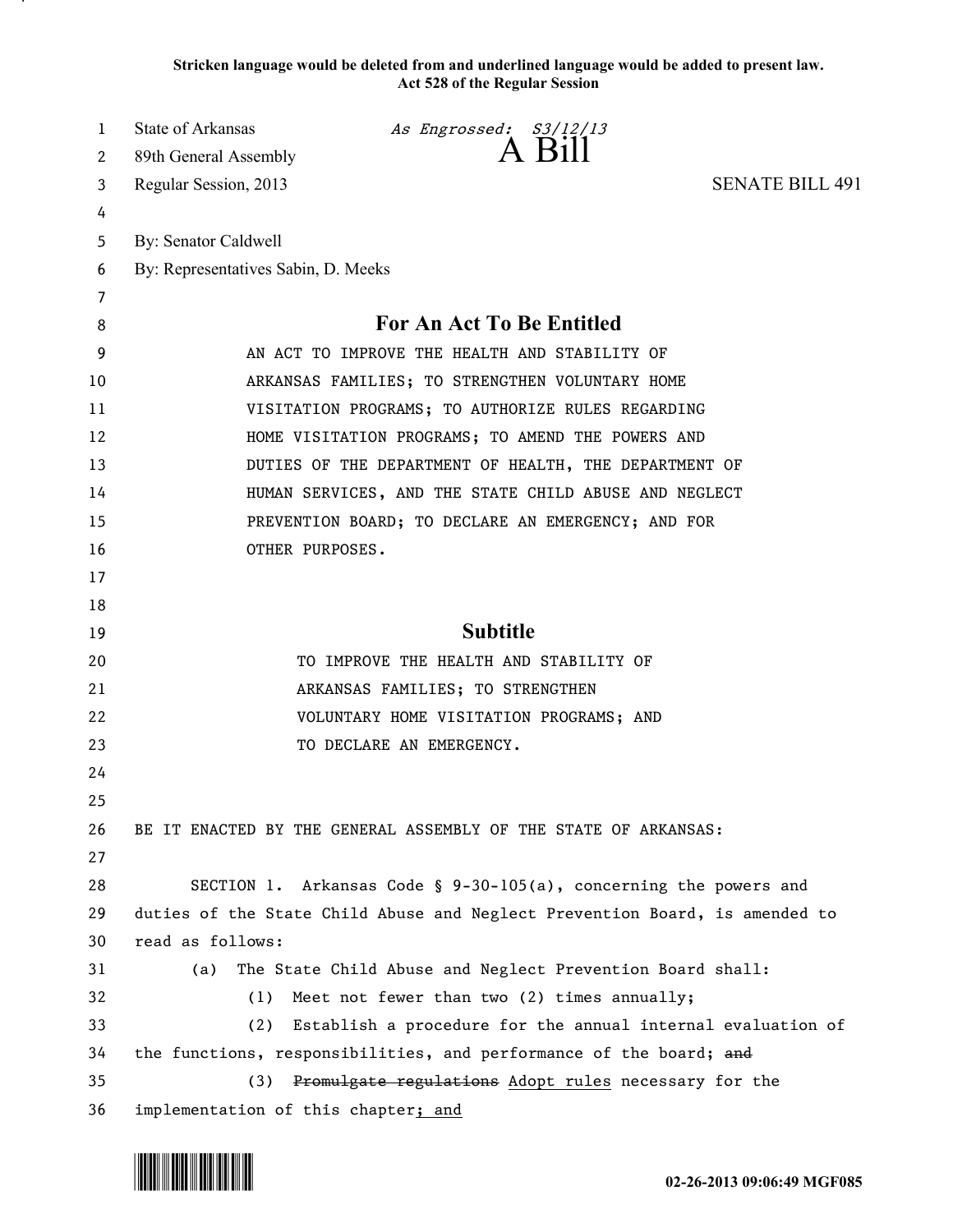**Stricken language would be deleted from and underlined language would be added to present law. Act 528 of the Regular Session**

| 1        | State of Arkansas<br>As Engrossed: S3/12/13<br>A Bill                                                                             |
|----------|-----------------------------------------------------------------------------------------------------------------------------------|
| 2        | 89th General Assembly<br><b>SENATE BILL 491</b>                                                                                   |
| 3        | Regular Session, 2013                                                                                                             |
| 4        | By: Senator Caldwell                                                                                                              |
| 5        | By: Representatives Sabin, D. Meeks                                                                                               |
| 6<br>7   |                                                                                                                                   |
| 8        | <b>For An Act To Be Entitled</b>                                                                                                  |
| 9        | AN ACT TO IMPROVE THE HEALTH AND STABILITY OF                                                                                     |
| 10       | ARKANSAS FAMILIES; TO STRENGTHEN VOLUNTARY HOME                                                                                   |
| 11       | VISITATION PROGRAMS; TO AUTHORIZE RULES REGARDING                                                                                 |
| 12       | HOME VISITATION PROGRAMS; TO AMEND THE POWERS AND                                                                                 |
| 13       | DUTIES OF THE DEPARTMENT OF HEALTH, THE DEPARTMENT OF                                                                             |
| 14       | HUMAN SERVICES, AND THE STATE CHILD ABUSE AND NEGLECT                                                                             |
| 15       | PREVENTION BOARD; TO DECLARE AN EMERGENCY; AND FOR                                                                                |
| 16       | OTHER PURPOSES.                                                                                                                   |
| 17       |                                                                                                                                   |
| 18       |                                                                                                                                   |
| 19       | <b>Subtitle</b>                                                                                                                   |
| 20       | TO IMPROVE THE HEALTH AND STABILITY OF                                                                                            |
| 21       | ARKANSAS FAMILIES; TO STRENGTHEN                                                                                                  |
| 22       | VOLUNTARY HOME VISITATION PROGRAMS; AND                                                                                           |
| 23       | TO DECLARE AN EMERGENCY.                                                                                                          |
| 24       |                                                                                                                                   |
| 25       |                                                                                                                                   |
| 26       | BE IT ENACTED BY THE GENERAL ASSEMBLY OF THE STATE OF ARKANSAS:                                                                   |
| 27       |                                                                                                                                   |
| 28       | SECTION 1. Arkansas Code § 9-30-105(a), concerning the powers and                                                                 |
| 29       | duties of the State Child Abuse and Neglect Prevention Board, is amended to                                                       |
| 30       | read as follows:                                                                                                                  |
| 31       | The State Child Abuse and Neglect Prevention Board shall:<br>(a)                                                                  |
| 32       |                                                                                                                                   |
|          | Meet not fewer than two (2) times annually;<br>(1)                                                                                |
| 33       | Establish a procedure for the annual internal evaluation of<br>(2)                                                                |
| 34<br>35 | the functions, responsibilities, and performance of the board; and<br>Promulgate regulations Adopt rules necessary for the<br>(3) |

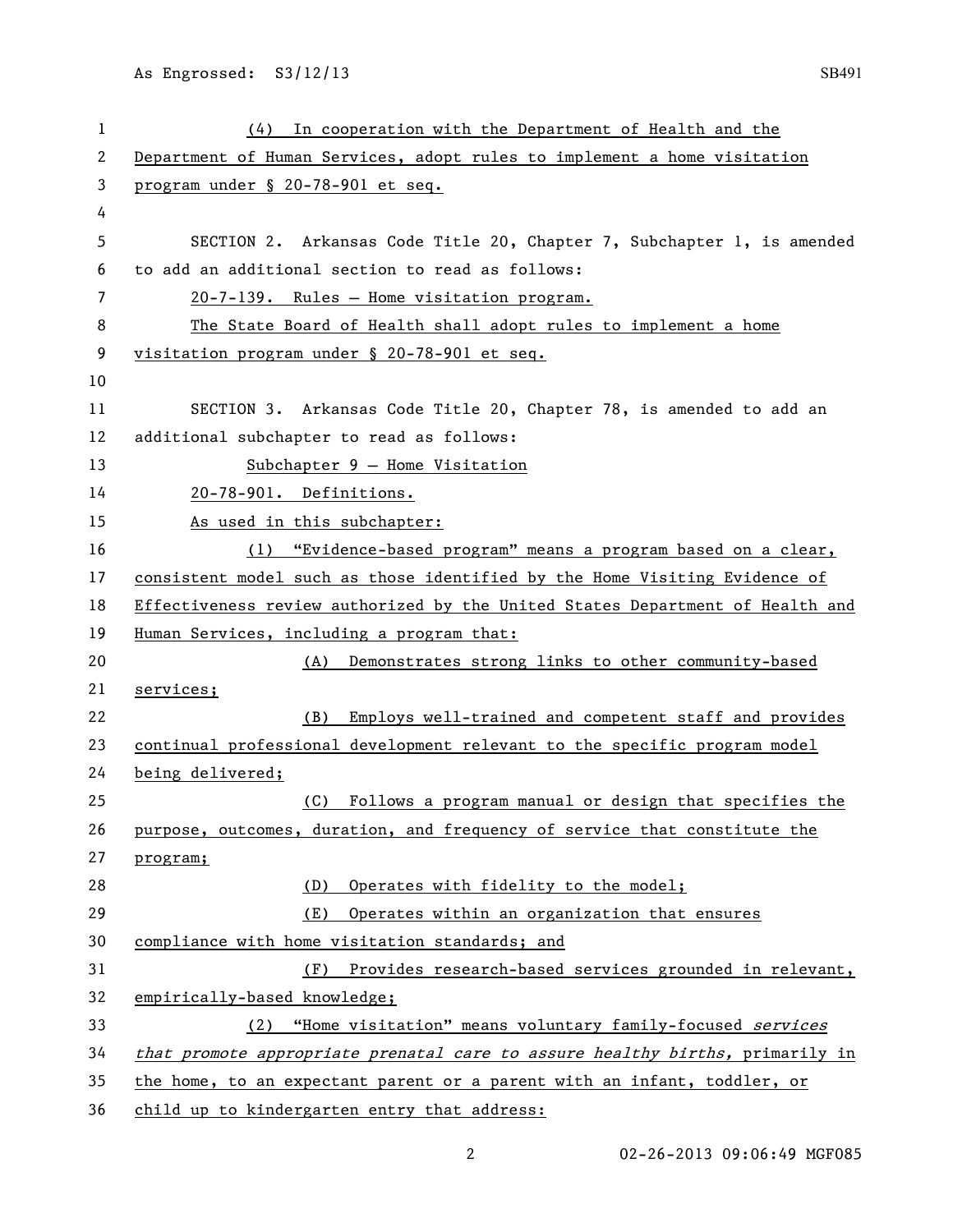As Engrossed: S3/12/13 SB491

| 1  | In cooperation with the Department of Health and the<br>(4)                   |
|----|-------------------------------------------------------------------------------|
| 2  | Department of Human Services, adopt rules to implement a home visitation      |
| 3  | program under § 20-78-901 et seq.                                             |
| 4  |                                                                               |
| 5  | SECTION 2. Arkansas Code Title 20, Chapter 7, Subchapter 1, is amended        |
| 6  | to add an additional section to read as follows:                              |
| 7  | 20-7-139. Rules - Home visitation program.                                    |
| 8  | The State Board of Health shall adopt rules to implement a home               |
| 9  | visitation program under § 20-78-901 et seq.                                  |
| 10 |                                                                               |
| 11 | SECTION 3. Arkansas Code Title 20, Chapter 78, is amended to add an           |
| 12 | additional subchapter to read as follows:                                     |
| 13 | $Subchapter 9 - Home Vision$                                                  |
| 14 | 20-78-901. Definitions.                                                       |
| 15 | As used in this subchapter:                                                   |
| 16 | (1) "Evidence-based program" means a program based on a clear,                |
| 17 | consistent model such as those identified by the Home Visiting Evidence of    |
| 18 | Effectiveness review authorized by the United States Department of Health and |
| 19 | Human Services, including a program that:                                     |
| 20 | Demonstrates strong links to other community-based<br>(A)                     |
| 21 | services;                                                                     |
| 22 | Employs well-trained and competent staff and provides<br>(B)                  |
| 23 | continual professional development relevant to the specific program model     |
| 24 | being delivered;                                                              |
| 25 | Follows a program manual or design that specifies the<br>(C)                  |
| 26 | purpose, outcomes, duration, and frequency of service that constitute the     |
| 27 | program;                                                                      |
| 28 | (D)<br>Operates with fidelity to the model;                                   |
| 29 | (E)<br>Operates within an organization that ensures                           |
| 30 | compliance with home visitation standards; and                                |
| 31 | Provides research-based services grounded in relevant,<br>(F)                 |
| 32 | empirically-based knowledge;                                                  |
| 33 | (2) "Home visitation" means voluntary family-focused services                 |
| 34 | that promote appropriate prenatal care to assure healthy births, primarily in |
| 35 | the home, to an expectant parent or a parent with an infant, toddler, or      |
| 36 | child up to kindergarten entry that address:                                  |

02-26-2013 09:06:49 MGF085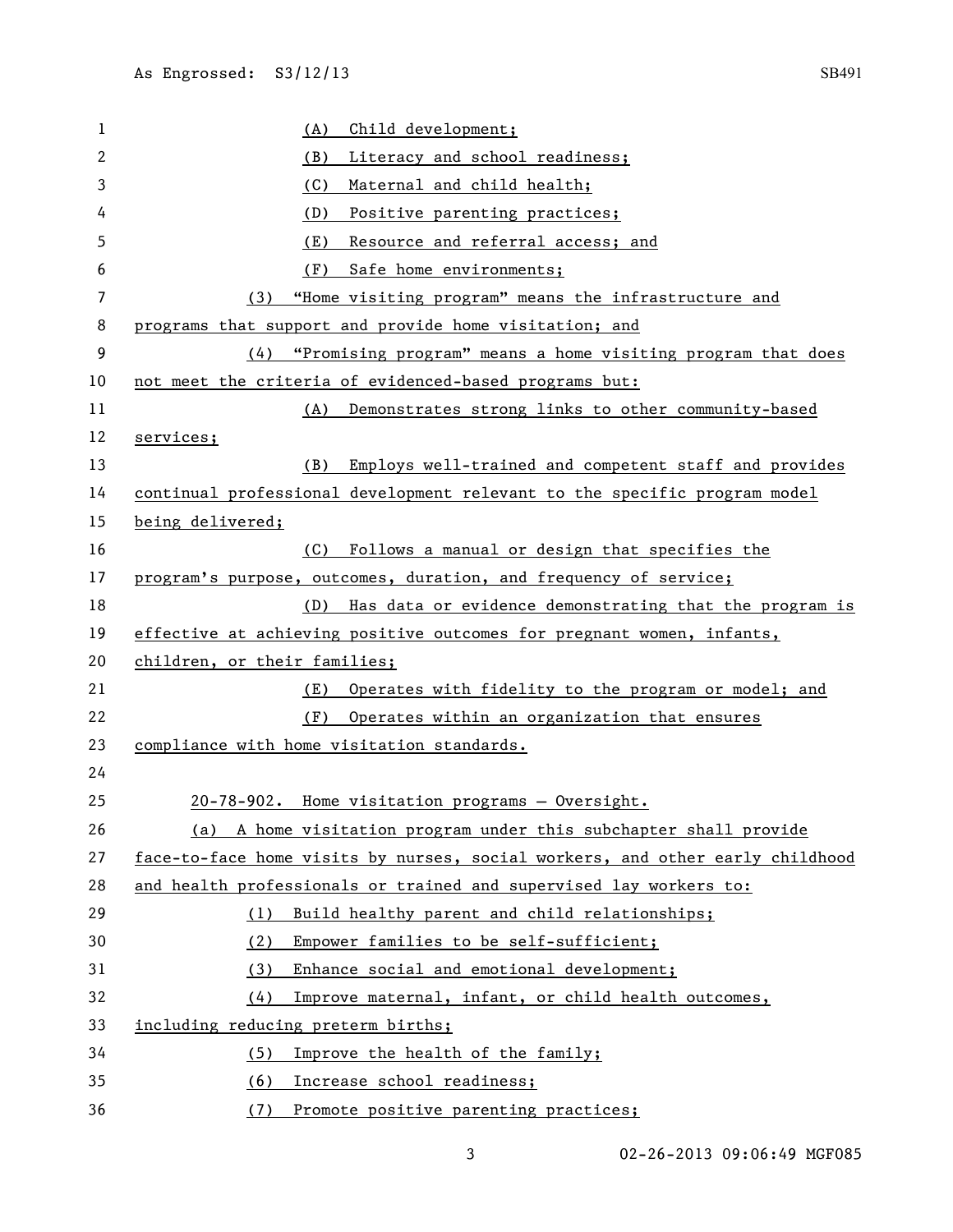| 1  | Child development;<br>(A)                                                     |
|----|-------------------------------------------------------------------------------|
| 2  | Literacy and school readiness;<br>(B)                                         |
| 3  | (C)<br>Maternal and child health;                                             |
| 4  | Positive parenting practices;<br>(D)                                          |
| 5  | Resource and referral access; and<br>(E)                                      |
| 6  | Safe home environments;<br>(F)                                                |
| 7  | "Home visiting program" means the infrastructure and<br>(3)                   |
| 8  | programs that support and provide home visitation; and                        |
| 9  | "Promising program" means a home visiting program that does<br>(4)            |
| 10 | not meet the criteria of evidenced-based programs but:                        |
| 11 | Demonstrates strong links to other community-based<br>(A)                     |
| 12 | services;                                                                     |
| 13 | Employs well-trained and competent staff and provides<br>(B)                  |
| 14 | continual professional development relevant to the specific program model     |
| 15 | being delivered;                                                              |
| 16 | Follows a manual or design that specifies the<br>(C)                          |
| 17 | program's purpose, outcomes, duration, and frequency of service;              |
| 18 | Has data or evidence demonstrating that the program is<br>(D)                 |
| 19 | effective at achieving positive outcomes for pregnant women, infants,         |
| 20 | children, or their families;                                                  |
| 21 | Operates with fidelity to the program or model; and<br>(E)                    |
| 22 | Operates within an organization that ensures<br>(F)                           |
| 23 | compliance with home visitation standards.                                    |
| 24 |                                                                               |
| 25 | 20-78-902. Home visitation programs - Oversight.                              |
| 26 | (a) A home visitation program under this subchapter shall provide             |
| 27 | face-to-face home visits by nurses, social workers, and other early childhood |
| 28 | and health professionals or trained and supervised lay workers to:            |
| 29 | Build healthy parent and child relationships;<br>(1)                          |
| 30 | Empower families to be self-sufficient;<br>(2)                                |
| 31 | Enhance social and emotional development;<br>(3)                              |
| 32 | Improve maternal, infant, or child health outcomes,<br>(4)                    |
| 33 | including reducing preterm births;                                            |
| 34 | Improve the health of the family;<br>(5)                                      |
| 35 | Increase school readiness;<br>(6)                                             |
| 36 | (7)<br>Promote positive parenting practices;                                  |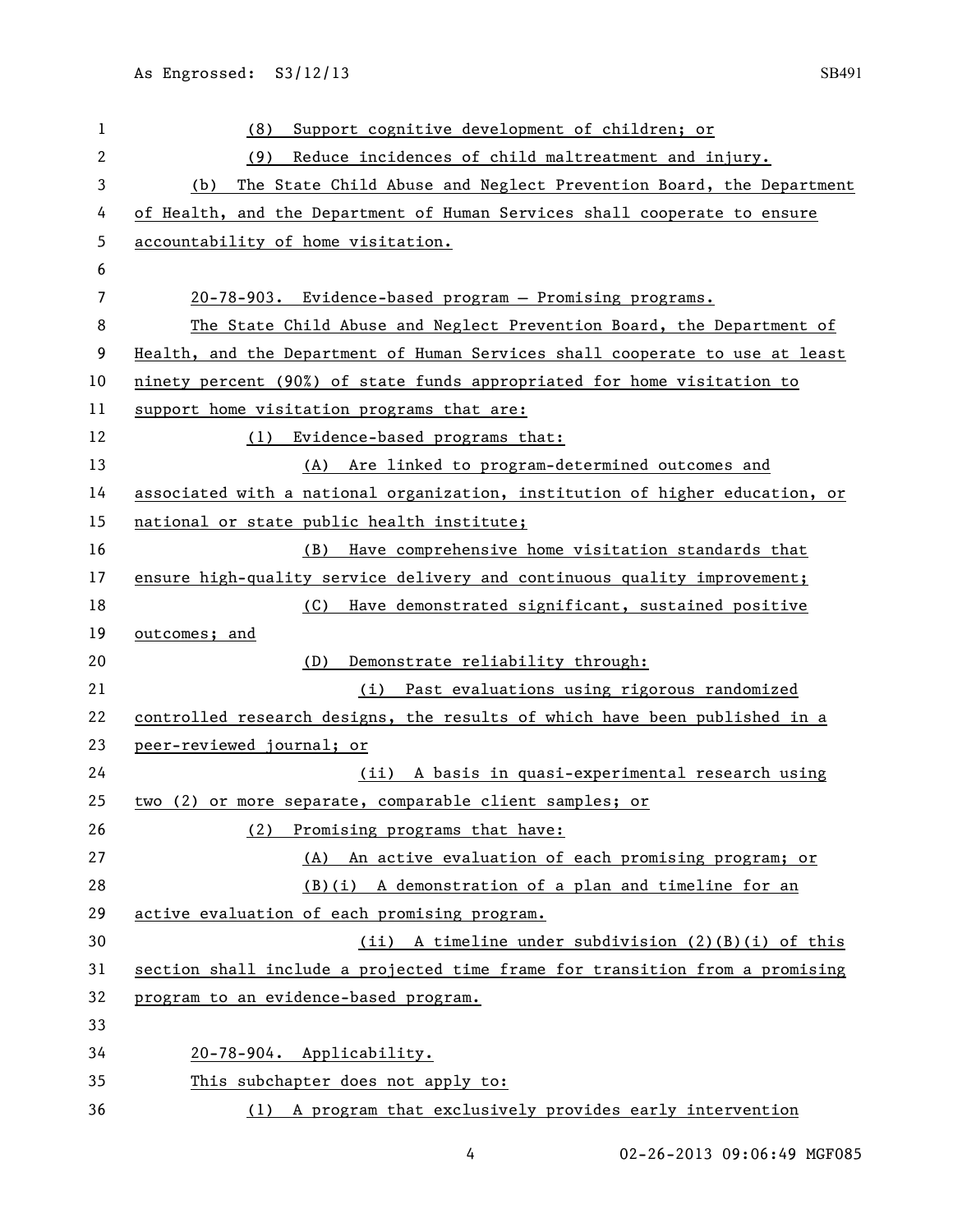| 1            | (8)<br>Support cognitive development of children; or                         |
|--------------|------------------------------------------------------------------------------|
| $\mathbf{2}$ | (9)<br>Reduce incidences of child maltreatment and injury.                   |
| 3            | The State Child Abuse and Neglect Prevention Board, the Department<br>(b)    |
| 4            | of Health, and the Department of Human Services shall cooperate to ensure    |
| 5            | accountability of home visitation.                                           |
| 6            |                                                                              |
| 7            | 20-78-903. Evidence-based program - Promising programs.                      |
| 8            | The State Child Abuse and Neglect Prevention Board, the Department of        |
| 9            | Health, and the Department of Human Services shall cooperate to use at least |
| 10           | ninety percent (90%) of state funds appropriated for home visitation to      |
| 11           | support home visitation programs that are:                                   |
| 12           | (1)<br>Evidence-based programs that:                                         |
| 13           | (A) Are linked to program-determined outcomes and                            |
| 14           | associated with a national organization, institution of higher education, or |
| 15           | national or state public health institute;                                   |
| 16           | Have comprehensive home visitation standards that<br>(B)                     |
| 17           | ensure high-quality service delivery and continuous quality improvement;     |
| 18           | Have demonstrated significant, sustained positive<br>(C)                     |
| 19           | outcomes; and                                                                |
| 20           | Demonstrate reliability through:<br>(D)                                      |
| 21           | (i) Past evaluations using rigorous randomized                               |
| 22           | controlled research designs, the results of which have been published in a   |
| 23           | peer-reviewed journal; or                                                    |
| 24           | (ii) A basis in quasi-experimental research using                            |
| 25           | two (2) or more separate, comparable client samples; or                      |
| 26           | Promising programs that have:<br>(2)                                         |
| 27           | (A) An active evaluation of each promising program; or                       |
| 28           | (B)(i) A demonstration of a plan and timeline for an                         |
| 29           | active evaluation of each promising program.                                 |
| 30           | (ii) A timeline under subdivision $(2)(B)(i)$ of this                        |
| 31           | section shall include a projected time frame for transition from a promising |
| 32           | program to an evidence-based program.                                        |
| 33           |                                                                              |
| 34           | 20-78-904. Applicability.                                                    |
| 35           | This subchapter does not apply to:                                           |
| 36           | (1) A program that exclusively provides early intervention                   |

02-26-2013 09:06:49 MGF085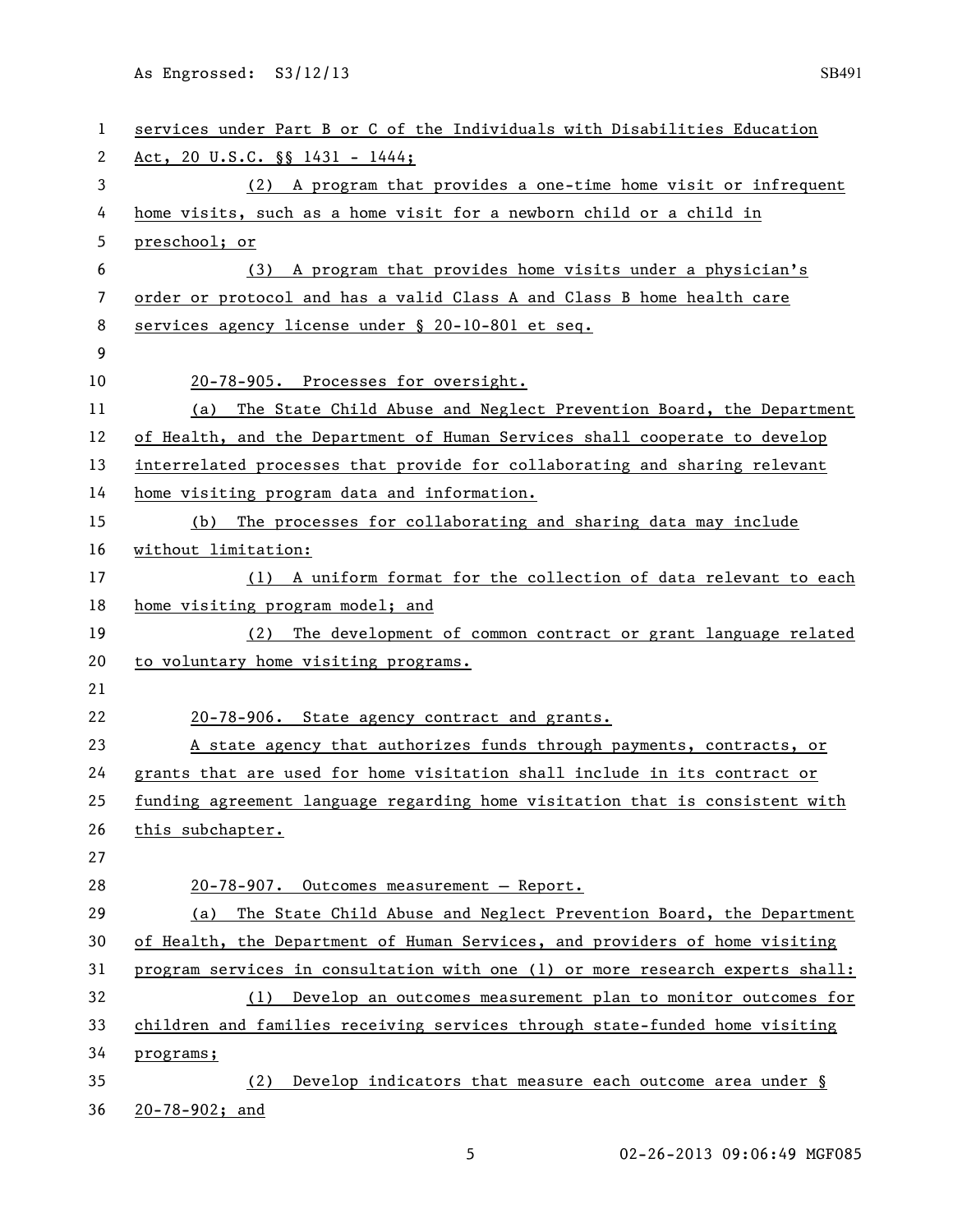As Engrossed: S3/12/13 SB491

| $\mathbf{1}$ | services under Part B or C of the Individuals with Disabilities Education     |
|--------------|-------------------------------------------------------------------------------|
| 2            | Act, 20 U.S.C. §§ 1431 - 1444;                                                |
| 3            | (2) A program that provides a one-time home visit or infrequent               |
| 4            | home visits, such as a home visit for a newborn child or a child in           |
| 5            | preschool; or                                                                 |
| 6            | (3) A program that provides home visits under a physician's                   |
| 7            | order or protocol and has a valid Class A and Class B home health care        |
| 8            | services agency license under § 20-10-801 et seq.                             |
| 9            |                                                                               |
| 10           | 20-78-905. Processes for oversight.                                           |
| 11           | The State Child Abuse and Neglect Prevention Board, the Department<br>(a)     |
| 12           | of Health, and the Department of Human Services shall cooperate to develop    |
| 13           | interrelated processes that provide for collaborating and sharing relevant    |
| 14           | home visiting program data and information.                                   |
| 15           | The processes for collaborating and sharing data may include<br>(b)           |
| 16           | without limitation:                                                           |
| 17           | (1) A uniform format for the collection of data relevant to each              |
| 18           | home visiting program model; and                                              |
| 19           | (2) The development of common contract or grant language related              |
| 20           | to voluntary home visiting programs.                                          |
| 21           |                                                                               |
| 22           | 20-78-906. State agency contract and grants.                                  |
| 23           |                                                                               |
|              | A state agency that authorizes funds through payments, contracts, or          |
| 24           | grants that are used for home visitation shall include in its contract or     |
| 25           | funding agreement language regarding home visitation that is consistent with  |
| 26           | this subchapter.                                                              |
| 27           |                                                                               |
| 28           | 20-78-907. Outcomes measurement - Report.                                     |
| 29           | The State Child Abuse and Neglect Prevention Board, the Department<br>(a)     |
| 30           | of Health, the Department of Human Services, and providers of home visiting   |
| 31           | program services in consultation with one (1) or more research experts shall: |
| 32           | (1) Develop an outcomes measurement plan to monitor outcomes for              |
| 33           | children and families receiving services through state-funded home visiting   |
| 34           | programs;                                                                     |
| 35           | Develop indicators that measure each outcome area under §<br>(2)              |

5 02-26-2013 09:06:49 MGF085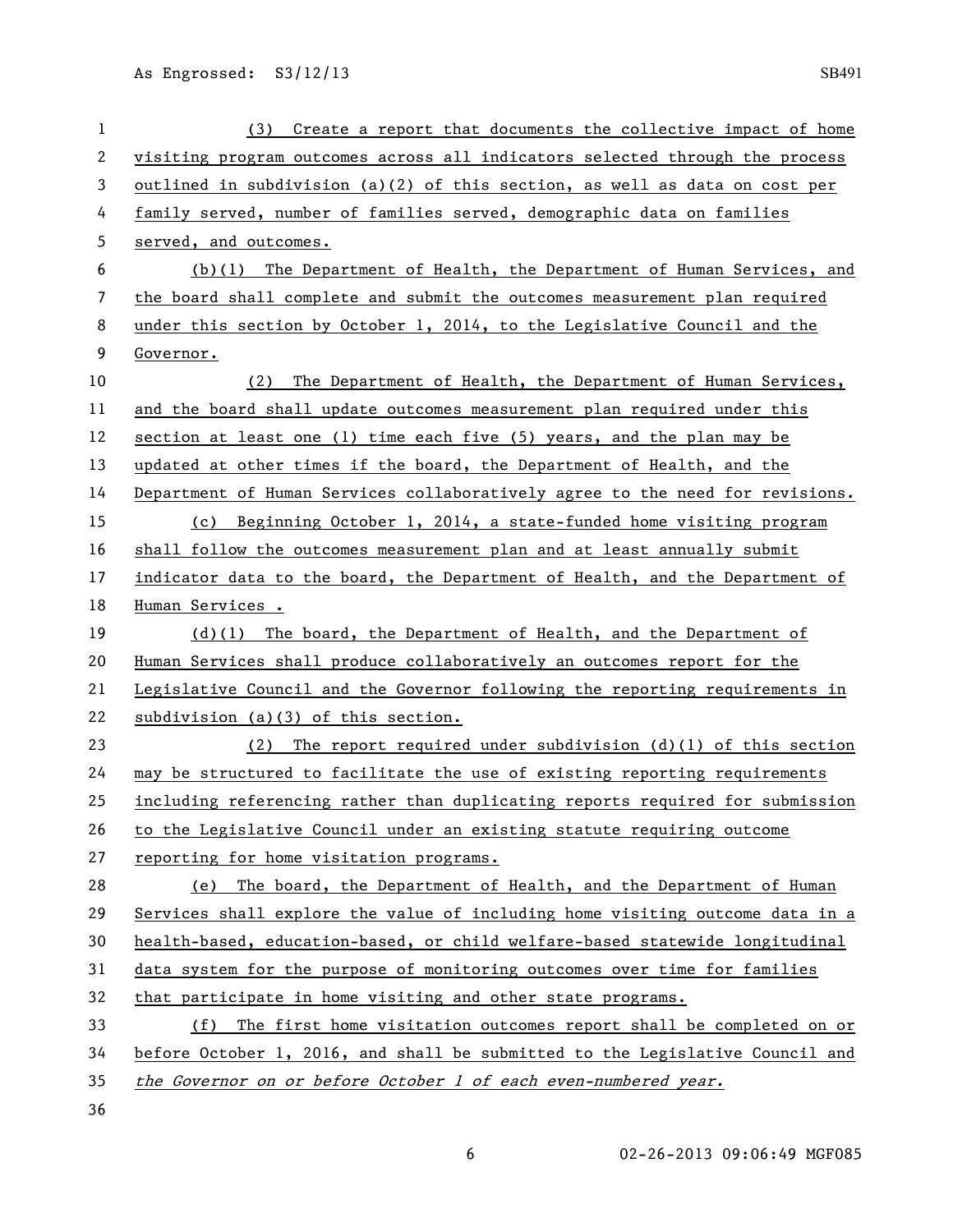| 1  | Create a report that documents the collective impact of home<br>(3)           |
|----|-------------------------------------------------------------------------------|
| 2  | visiting program outcomes across all indicators selected through the process  |
| 3  | outlined in subdivision (a)(2) of this section, as well as data on cost per   |
| 4  | family served, number of families served, demographic data on families        |
| 5  | served, and outcomes.                                                         |
| 6  | (b)(1) The Department of Health, the Department of Human Services, and        |
| 7  | the board shall complete and submit the outcomes measurement plan required    |
| 8  | under this section by October 1, 2014, to the Legislative Council and the     |
| 9  | Governor.                                                                     |
| 10 | The Department of Health, the Department of Human Services,<br>(2)            |
| 11 | and the board shall update outcomes measurement plan required under this      |
| 12 | section at least one (1) time each five (5) years, and the plan may be        |
| 13 | updated at other times if the board, the Department of Health, and the        |
| 14 | Department of Human Services collaboratively agree to the need for revisions. |
| 15 | (c) Beginning October 1, 2014, a state-funded home visiting program           |
| 16 | shall follow the outcomes measurement plan and at least annually submit       |
| 17 | indicator data to the board, the Department of Health, and the Department of  |
| 18 | Human Services.                                                               |
| 19 | $(d)(1)$ The board, the Department of Health, and the Department of           |
| 20 | Human Services shall produce collaboratively an outcomes report for the       |
| 21 | Legislative Council and the Governor following the reporting requirements in  |
| 22 | subdivision (a)(3) of this section.                                           |
| 23 | The report required under subdivision $(d)(1)$ of this section<br>(2)         |
| 24 | may be structured to facilitate the use of existing reporting requirements    |
| 25 | including referencing rather than duplicating reports required for submission |
| 26 | to the Legislative Council under an existing statute requiring outcome        |
| 27 | reporting for home visitation programs.                                       |
| 28 | (e) The board, the Department of Health, and the Department of Human          |
| 29 | Services shall explore the value of including home visiting outcome data in a |
| 30 | health-based, education-based, or child welfare-based statewide longitudinal  |
| 31 | data system for the purpose of monitoring outcomes over time for families     |
| 32 | that participate in home visiting and other state programs.                   |
| 33 | The first home visitation outcomes report shall be completed on or<br>(f)     |
| 34 | before October 1, 2016, and shall be submitted to the Legislative Council and |
| 35 | the Governor on or before October 1 of each even-numbered year.               |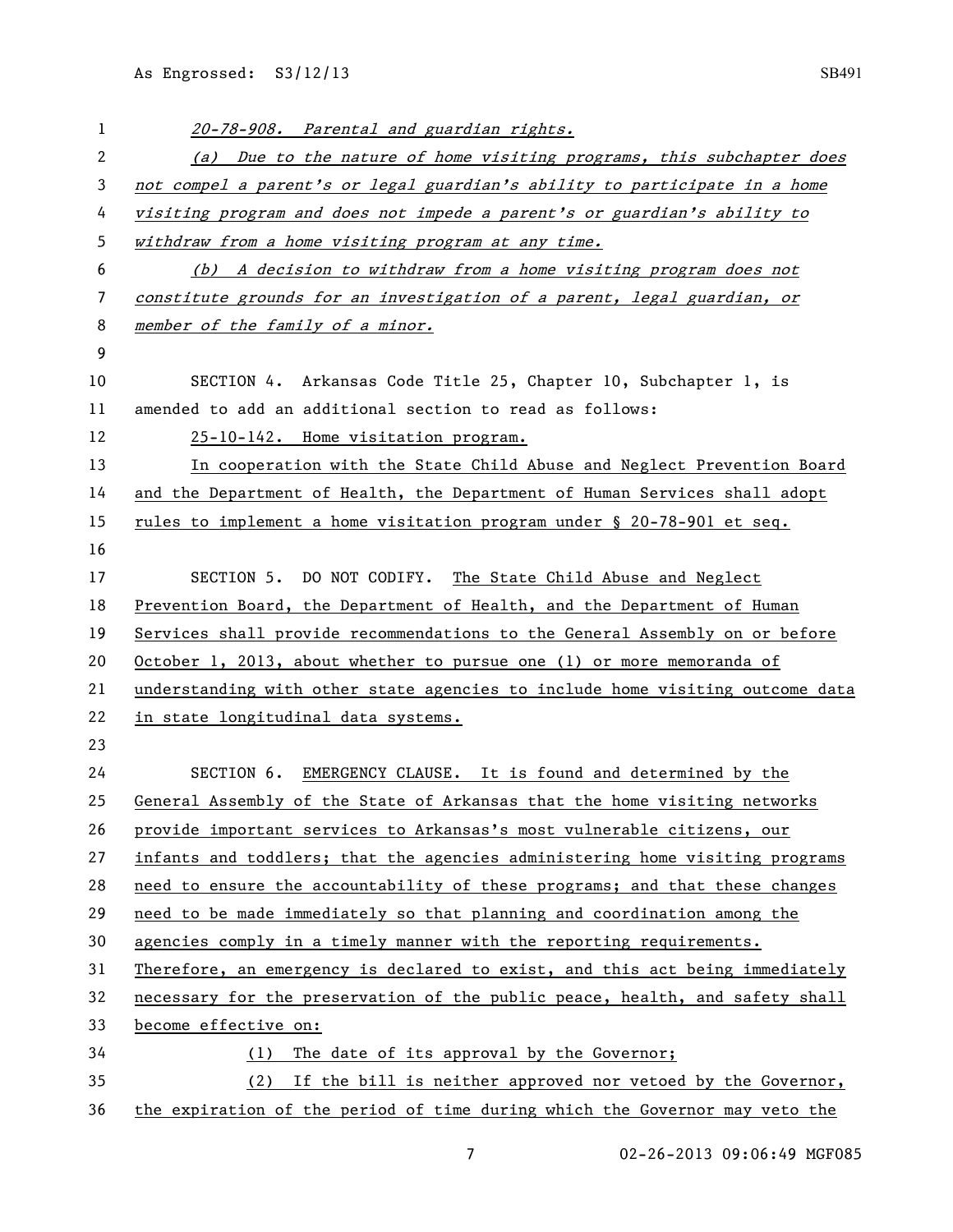| 1  | 20-78-908. Parental and guardian rights.                                      |
|----|-------------------------------------------------------------------------------|
| 2  | (a) Due to the nature of home visiting programs, this subchapter does         |
| 3  | not compel a parent's or legal guardian's ability to participate in a home    |
| 4  | visiting program and does not impede a parent's or guardian's ability to      |
| 5  | withdraw from a home visiting program at any time.                            |
| 6  | (b) A decision to withdraw from a home visiting program does not              |
| 7  | constitute grounds for an investigation of a parent, legal guardian, or       |
| 8  | member of the family of a minor.                                              |
| 9  |                                                                               |
| 10 | SECTION 4. Arkansas Code Title 25, Chapter 10, Subchapter 1, is               |
| 11 | amended to add an additional section to read as follows:                      |
| 12 | 25-10-142. Home visitation program.                                           |
| 13 | In cooperation with the State Child Abuse and Neglect Prevention Board        |
| 14 | and the Department of Health, the Department of Human Services shall adopt    |
| 15 | rules to implement a home visitation program under § 20-78-901 et seq.        |
| 16 |                                                                               |
| 17 | SECTION 5. DO NOT CODIFY. The State Child Abuse and Neglect                   |
| 18 | Prevention Board, the Department of Health, and the Department of Human       |
| 19 | Services shall provide recommendations to the General Assembly on or before   |
| 20 | October 1, 2013, about whether to pursue one (1) or more memoranda of         |
| 21 | understanding with other state agencies to include home visiting outcome data |
| 22 | in state longitudinal data systems.                                           |
| 23 |                                                                               |
| 24 | SECTION 6. EMERGENCY CLAUSE. It is found and determined by the                |
| 25 | General Assembly of the State of Arkansas that the home visiting networks     |
| 26 | provide important services to Arkansas's most vulnerable citizens, our        |
| 27 | infants and toddlers; that the agencies administering home visiting programs  |
| 28 | need to ensure the accountability of these programs; and that these changes   |
| 29 | need to be made immediately so that planning and coordination among the       |
| 30 | agencies comply in a timely manner with the reporting requirements.           |
| 31 | Therefore, an emergency is declared to exist, and this act being immediately  |
| 32 | necessary for the preservation of the public peace, health, and safety shall  |
| 33 | become effective on:                                                          |
| 34 | (1) The date of its approval by the Governor;                                 |
| 35 | (2) If the bill is neither approved nor vetoed by the Governor,               |
| 36 | the expiration of the period of time during which the Governor may veto the   |